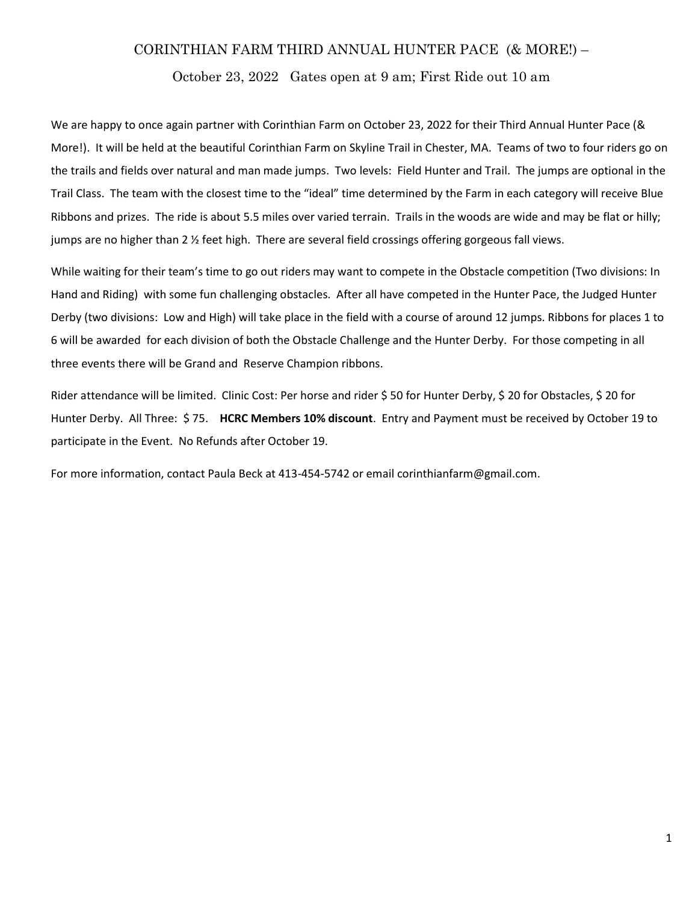## CORINTHIAN FARM THIRD ANNUAL HUNTER PACE (& MORE!) –

October 23, 2022 Gates open at 9 am; First Ride out 10 am

We are happy to once again partner with Corinthian Farm on October 23, 2022 for their Third Annual Hunter Pace (& More!). It will be held at the beautiful Corinthian Farm on Skyline Trail in Chester, MA. Teams of two to four riders go on the trails and fields over natural and man made jumps. Two levels: Field Hunter and Trail. The jumps are optional in the Trail Class. The team with the closest time to the "ideal" time determined by the Farm in each category will receive Blue Ribbons and prizes. The ride is about 5.5 miles over varied terrain. Trails in the woods are wide and may be flat or hilly; jumps are no higher than 2 ½ feet high. There are several field crossings offering gorgeous fall views.

While waiting for their team's time to go out riders may want to compete in the Obstacle competition (Two divisions: In Hand and Riding) with some fun challenging obstacles. After all have competed in the Hunter Pace, the Judged Hunter Derby (two divisions: Low and High) will take place in the field with a course of around 12 jumps. Ribbons for places 1 to 6 will be awarded for each division of both the Obstacle Challenge and the Hunter Derby. For those competing in all three events there will be Grand and Reserve Champion ribbons.

Rider attendance will be limited. Clinic Cost: Per horse and rider \$ 50 for Hunter Derby, \$ 20 for Obstacles, \$ 20 for Hunter Derby. All Three: \$75. HCRC Members 10% discount. Entry and Payment must be received by October 19 to participate in the Event. No Refunds after October 19.

For more information, contact Paula Beck at 413-454-5742 or email corinthianfarm@gmail.com.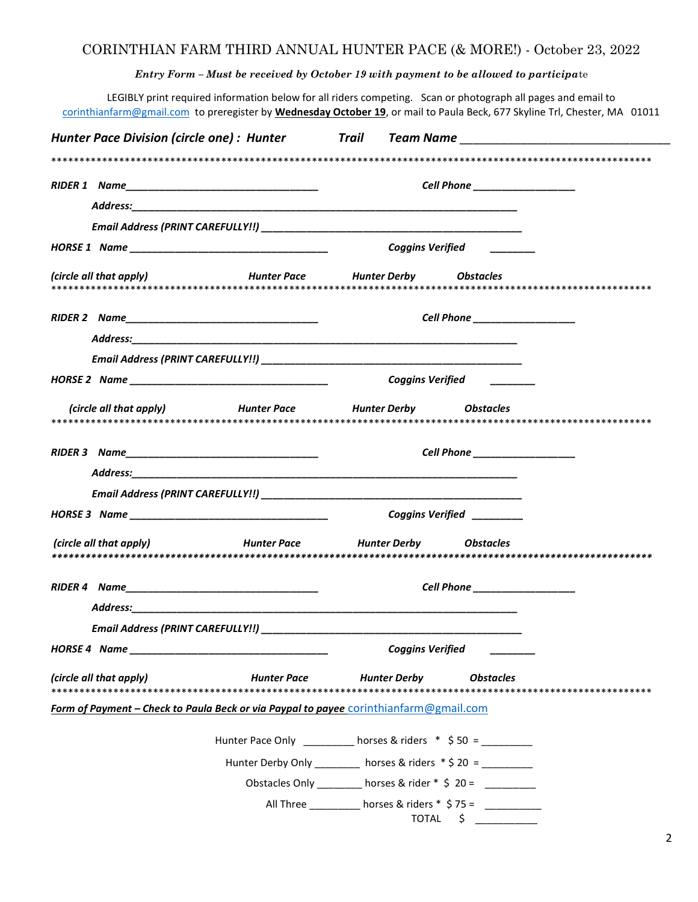## CORINTHIAN FARM THIRD ANNUAL HUNTER PACE (& MORE!) - October 23, 2022

Entry Form – Must be received by October 19 with payment to be allowed to participate

LEGIBLY print required information below for all riders competing. Scan or photograph all pages and email to corinthianfarm@gmail.com to preregister by Wednesday October 19, or mail to Paula Beck, 677 Skyline Trl, Chester, MA 01011

|                                                                                       |                                                             |                                                              | Hunter Pace Division (circle one): Hunter Trail Team Name _______________________ |  |
|---------------------------------------------------------------------------------------|-------------------------------------------------------------|--------------------------------------------------------------|-----------------------------------------------------------------------------------|--|
|                                                                                       |                                                             |                                                              |                                                                                   |  |
|                                                                                       |                                                             |                                                              | Cell Phone __________________                                                     |  |
|                                                                                       |                                                             |                                                              |                                                                                   |  |
|                                                                                       |                                                             |                                                              |                                                                                   |  |
|                                                                                       |                                                             |                                                              | Coggins Verified <b>Coggins</b>                                                   |  |
| (circle all that apply)                                                               |                                                             | Hunter Pace Hunter Derby Obstacles                           |                                                                                   |  |
|                                                                                       |                                                             |                                                              | Cell Phone _________________                                                      |  |
|                                                                                       |                                                             |                                                              |                                                                                   |  |
|                                                                                       |                                                             |                                                              |                                                                                   |  |
|                                                                                       |                                                             |                                                              | Coggins Verified <b>Coggins</b> Verified                                          |  |
|                                                                                       | (circle all that apply) Hunter Pace Hunter Derby Dbstacles  |                                                              |                                                                                   |  |
|                                                                                       |                                                             |                                                              |                                                                                   |  |
|                                                                                       |                                                             |                                                              | Cell Phone _________________                                                      |  |
|                                                                                       |                                                             |                                                              |                                                                                   |  |
|                                                                                       |                                                             |                                                              |                                                                                   |  |
|                                                                                       |                                                             |                                                              | Coggins Verified                                                                  |  |
| (circle all that apply) Tunter Pace Hunter Derby                                      |                                                             |                                                              | <b>Obstacles</b>                                                                  |  |
|                                                                                       |                                                             | Cell Phone __________________                                |                                                                                   |  |
|                                                                                       |                                                             |                                                              |                                                                                   |  |
|                                                                                       |                                                             |                                                              |                                                                                   |  |
| HORSE 4 Name                                                                          |                                                             | <b>Coggins Verified</b>                                      |                                                                                   |  |
| (circle all that apply)                                                               | <b>Hunter Pace</b>                                          | <b>Hunter Derby</b>                                          | <b>Obstacles</b>                                                                  |  |
| Form of Payment - Check to Paula Beck or via Paypal to payee corinthianfarm@gmail.com |                                                             |                                                              |                                                                                   |  |
|                                                                                       | Hunter Pace Only ________ horses & riders * \$50 = ________ |                                                              |                                                                                   |  |
|                                                                                       |                                                             | Hunter Derby Only _______ horses & riders * \$ 20 = ________ |                                                                                   |  |
|                                                                                       |                                                             | Obstacles Only __________ horses & rider * \$ 20 = _________ |                                                                                   |  |
|                                                                                       |                                                             | All Three _________ horses & riders * \$75 = _________       | $TOTAL \quad $ \quad \qquad \quad$                                                |  |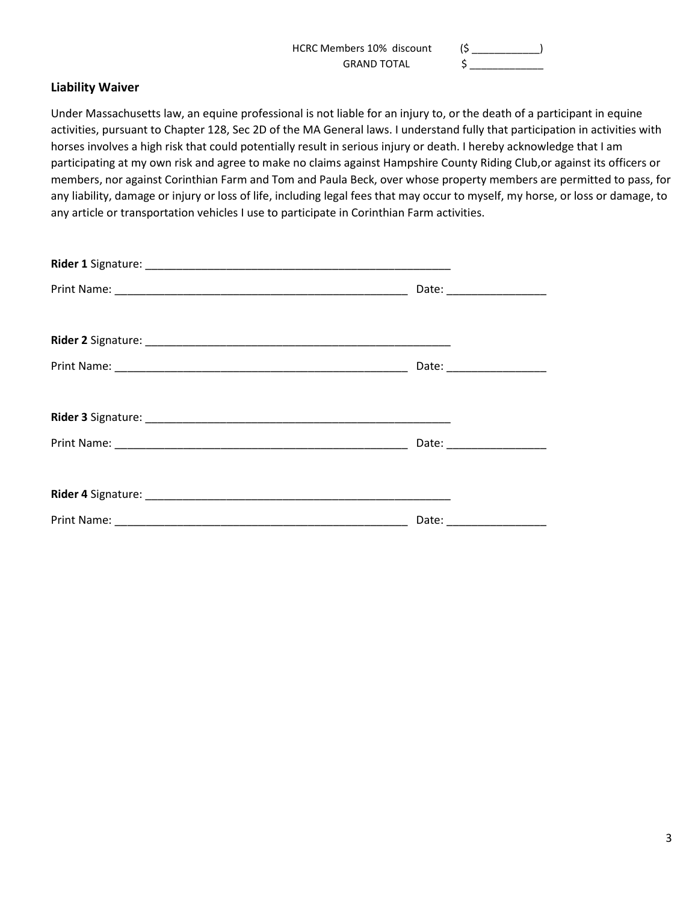| HCRC Members 10% discount |  |
|---------------------------|--|
| <b>GRAND TOTAL</b>        |  |

## Liability Waiver

Under Massachusetts law, an equine professional is not liable for an injury to, or the death of a participant in equine activities, pursuant to Chapter 128, Sec 2D of the MA General laws. I understand fully that participation in activities with horses involves a high risk that could potentially result in serious injury or death. I hereby acknowledge that I am participating at my own risk and agree to make no claims against Hampshire County Riding Club,or against its officers or members, nor against Corinthian Farm and Tom and Paula Beck, over whose property members are permitted to pass, for any liability, damage or injury or loss of life, including legal fees that may occur to myself, my horse, or loss or damage, to any article or transportation vehicles I use to participate in Corinthian Farm activities.

| Date: ___________________ |
|---------------------------|